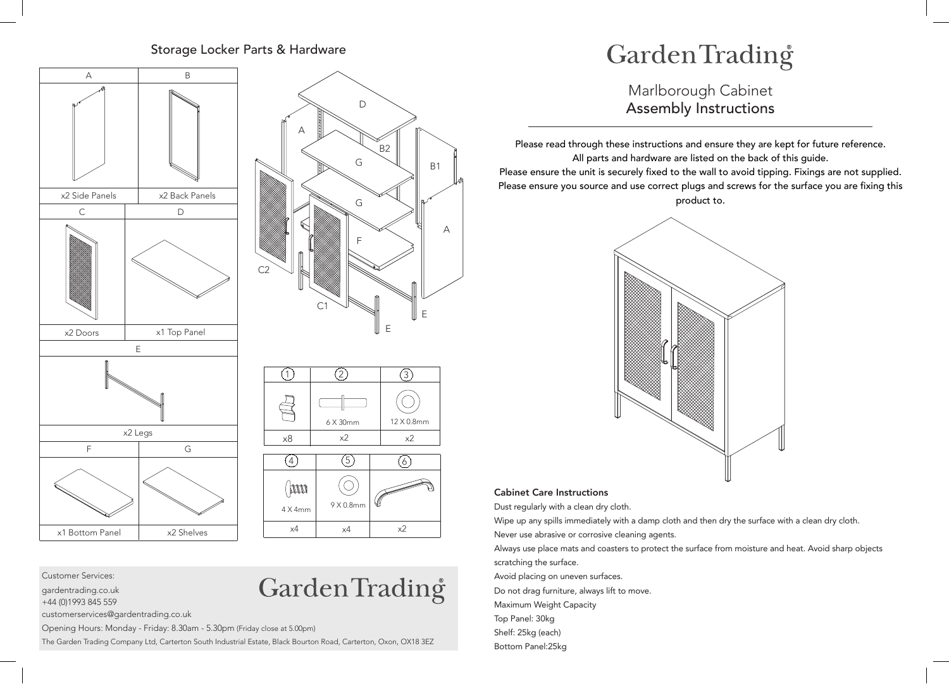## Storage Locker Parts & Hardware







Garden Trading<sup>®</sup>

Customer Services:

gardentrading.co.uk

+44 (0)1993 845 559

customerservices@gardentrading.co.uk

Opening Hours: Monday - Friday: 8.30am - 5.30pm (Friday close at 5.00pm)

The Garden Trading Company Ltd, Carterton South Industrial Estate, Black Bourton Road, Carterton, Oxon, OX18 3EZ

## GardenTrading

Marlborough Cabinet Assembly Instructions

Please read through these instructions and ensure they are kept for future reference. All parts and hardware are listed on the back of this guide. Please ensure the unit is securely fixed to the wall to avoid tipping. Fixings are not supplied. Please ensure you source and use correct plugs and screws for the surface you are fixing this product to.



## Cabinet Care Instructions

Dust regularly with a clean dry cloth.

Wipe up any spills immediately with a damp cloth and then dry the surface with a clean dry cloth.

Never use abrasive or corrosive cleaning agents.

Always use place mats and coasters to protect the surface from moisture and heat. Avoid sharp objects scratching the surface.

Avoid placing on uneven surfaces. Do not drag furniture, always lift to move. Maximum Weight Capacity Top Panel: 30kg Shelf: 25kg (each)

Bottom Panel:25kg